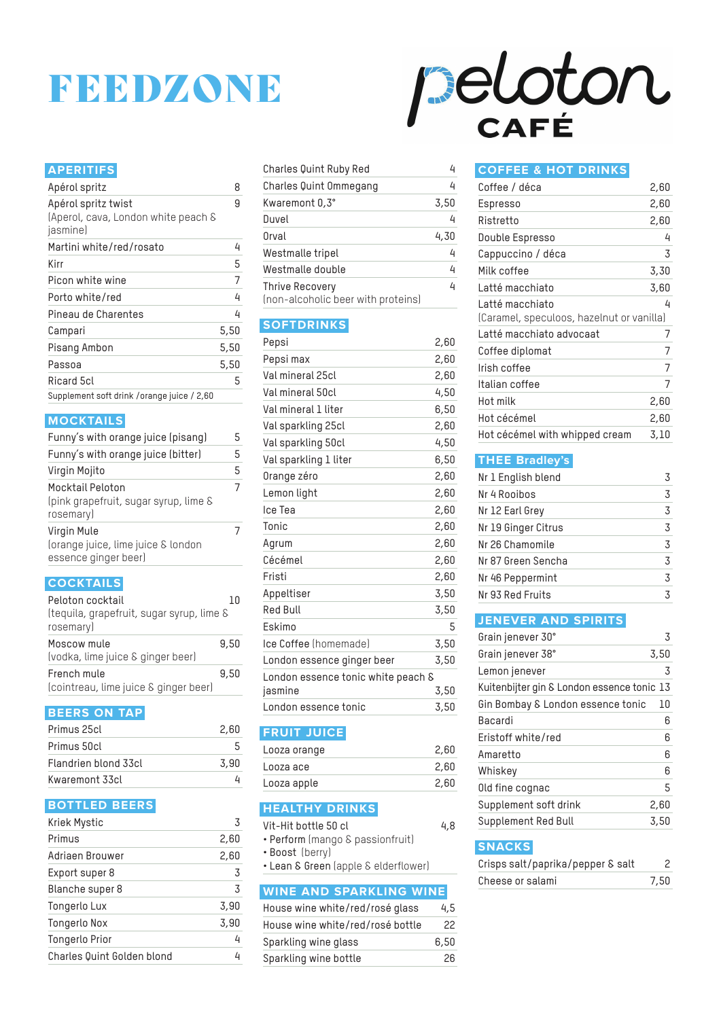### **FEEDZONE**

# peloton

#### **APERITIFS**

| Apérol spritz                                                          | 8    |
|------------------------------------------------------------------------|------|
| Apérol spritz twist<br>(Aperol, cava, London white peach &<br>jasmine) | Й    |
| Martini white/red/rosato                                               | 4    |
| Kirr                                                                   | 5    |
| Picon white wine                                                       | 7    |
| Porto white/red                                                        | 4    |
| Pineau de Charentes                                                    | 4    |
| Campari                                                                | 5,50 |
| Pisang Ambon                                                           | 5,50 |
| Passoa                                                                 | 5,50 |
| Ricard 5cl                                                             | 5    |
| Supplement soft drink / orange juice / 2,60                            |      |

#### **MOCKTAILS**

| Funny's with orange juice (pisang)                                        | 5 |
|---------------------------------------------------------------------------|---|
| Funny's with orange juice (bitter)                                        | 5 |
| Virgin Mojito                                                             | 5 |
| Mocktail Peloton<br>(pink grapefruit, sugar syrup, lime &<br>rosemary)    | 7 |
| Virgin Mule<br>(orange juice, lime juice & london<br>essence ginger beer) | 7 |
|                                                                           |   |

#### **COCKTAILS**

| Peloton cocktail                                       |      |
|--------------------------------------------------------|------|
| (tequila, grapefruit, sugar syrup, lime &<br>rosemary) |      |
| Moscow mule                                            | 9.50 |
| (vodka, lime juice & ginger beer)                      |      |
| French mule                                            | 9.50 |
| (cointreau, lime juice & ginger beer)                  |      |

#### **BEERS ON TAP**

| Primus 25cl          | 2,60 |
|----------------------|------|
| Primus 50cl          |      |
| Flandrien blond 33cl | 3.90 |
| Kwaremont 33cl       |      |

#### **BOTTLED BEERS**

| Kriek Mystic               | 3    |
|----------------------------|------|
| Primus                     | 2,60 |
| Adriaen Brouwer            | 2,60 |
| Export super 8             | 3    |
| Blanche super 8            | 3    |
| Tongerlo Lux               | 3,90 |
| <b>Tongerlo Nox</b>        | 3,90 |
| <b>Tongerlo Prior</b>      | 4    |
| Charles Quint Golden blond | 4    |

| Charles Quint Ruby Red                                | 4    |
|-------------------------------------------------------|------|
| Charles Quint Ommegang                                | 4    |
| Kwaremont 0,3°                                        | 3,50 |
| Duvel                                                 | 4    |
| Orval                                                 | 4,30 |
| Westmalle tripel                                      | 4    |
| Westmalle double                                      | 4    |
| Thrive Recovery<br>(non-alcoholic beer with proteins) | 4    |

#### **SOFTDRINKS**

| Pepsi                              | 2,60 |
|------------------------------------|------|
| Pepsi max                          | 2,60 |
| Val mineral 25cl                   | 2,60 |
| Val mineral 50cl                   | 4,50 |
| Val mineral 1 liter                | 6,50 |
| Val sparkling 25cl                 | 2,60 |
| Val sparkling 50cl                 | 4,50 |
| Val sparkling 1 liter              | 6,50 |
| Orange zéro                        | 2,60 |
| Lemon light                        | 2,60 |
| Ice Tea                            | 2,60 |
| Tonic                              | 2,60 |
| Agrum                              | 2,60 |
| Cécémel                            | 2,60 |
| Fristi                             | 2,60 |
| Appeltiser                         | 3,50 |
| <b>Red Bull</b>                    | 3,50 |
| Eskimo                             | 5    |
| Ice Coffee (homemade)              | 3,50 |
| London essence ginger beer         | 3,50 |
| London essence tonic white peach & |      |
| jasmine                            | 3,50 |
| London essence tonic               | 3,50 |
|                                    |      |

#### **FRUIT JUICE**

| Looza orange | 2,60 |
|--------------|------|
| Looza ace    | 2,60 |
| Looza apple  | 2,60 |

#### **HEALTHY DRINKS**

Vit-Hit bottle 50 cl 4,8

- Perform (mango & passionfruit)
- Boost (berry)
- Lean & Green (apple & elderflower)

#### **WINE AND SPARKLING WINE**

| House wine white/red/rosé glass  | 4.5  |
|----------------------------------|------|
| House wine white/red/rosé bottle | 22   |
| Sparkling wine glass             | 6.50 |
| Sparkling wine bottle            | 26   |

#### **COFFEE & HOT DRINKS**

| 2,60                                      |
|-------------------------------------------|
| 2,60                                      |
| 2,60                                      |
| 4                                         |
| 3                                         |
| 3,30                                      |
| 3,60                                      |
| 4                                         |
| (Caramel, speculoos, hazelnut or vanilla) |
| 7                                         |
| 7                                         |
| 7                                         |
| 7                                         |
| 2,60                                      |
| 2,60                                      |
| 3,10                                      |
|                                           |

#### **THEE Bradley's**

| Nr 1 English blend  | $\cdot$ |
|---------------------|---------|
| Nr 4 Rooibos        | 3       |
| Nr 12 Earl Grey     | 3       |
| Nr 19 Ginger Citrus | 3       |
| Nr 26 Chamomile     | 3       |
| Nr 87 Green Sencha  | 3       |
| Nr 46 Peppermint    | 3       |
| Nr 93 Red Fruits    | 3       |

#### **JENEVER AND SPIRITS**

| Grain jenever 30°                          | 3    |
|--------------------------------------------|------|
| Grain jenever 38°                          | 3,50 |
| Lemon jenever                              | 3    |
| Kuitenbijter gin & London essence tonic 13 |      |
| Gin Bombay & London essence tonic          | 10   |
| Bacardi                                    | 6    |
| Eristoff white/red                         | 6    |
| Amaretto                                   | 6    |
| Whiskey                                    | 6    |
| Old fine cognac                            | 5    |
| Supplement soft drink                      | 2,60 |
| Supplement Red Bull                        | 3,50 |

#### **SNACKS**

| Crisps salt/paprika/pepper & salt |      |
|-----------------------------------|------|
| Cheese or salami                  | 7,50 |